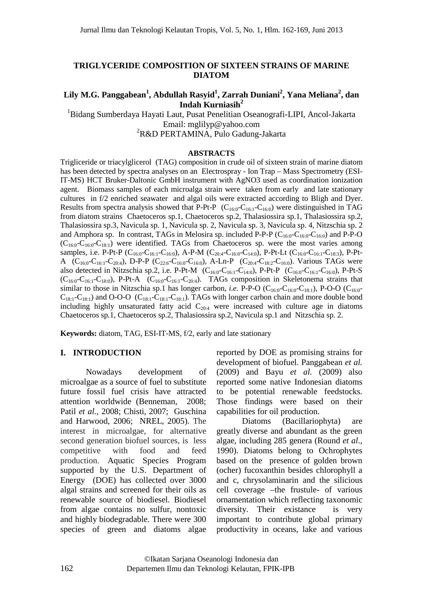#### **TRIGLYCERIDE COMPOSITION OF SIXTEEN STRAINS OF MARINE DIATOM**

#### $\mathbf{Lily\ M.G.}\ \mathbf{Panggabean}^{1}, \mathbf{Abdullah}\ \mathbf{Rasyid}^{1}, \mathbf{Zarrah}\ \mathbf{Duniani}^{2}, \mathbf{Yana}\ \mathbf{Meliana}^{2}, \mathbf{dan}$ **Indah Kurniasih<sup>2</sup>**

<sup>1</sup>Bidang Sumberdaya Hayati Laut, Pusat Penelitian Oseanografi-LIPI, Ancol-Jakarta Email: mglilyp@yahoo.com <sup>2</sup>R&D PERTAMINA, Pulo Gadung-Jakarta

#### **ABSTRACTS**

Trigliceride or triacylglicerol (TAG) composition in crude oil of sixteen strain of marine diatom has been detected by spectra analyses on an Electrospray - Ion Trap – Mass Spectrometry (ESI-IT-MS) HCT Bruker-Daltonic GmbH instrument with AgNO3 used as coordination ionization agent. Biomass samples of each microalga strain were taken from early and late stationary cultures in f/2 enriched seawater and algal oils were extracted according to Bligh and Dyer. Results from spectra analysis showed that P-Pt-P  $(C_{16:0}-C_{16:1}-C_{16:0})$  were distinguished in TAG from diatom strains Chaetoceros sp.1, Chaetoceros sp.2, Thalasiossira sp.1, Thalasiossira sp.2, Thalasiossira sp.3, Navicula sp. 1, Navicula sp. 2, Navicula sp. 3, Navicula sp. 4, Nitzschia sp. 2 and Amphora sp. In contrast, TAGs in Melosira sp. included P-P-P  $(C_{16:0}$ -C<sub>16:0</sub>-C<sub>16:0</sub>) and P-P-O  $(C_{16:0}$ - $C_{16:0}$ - $C_{18:1}$ ) were identified. TAGs from Chaetoceros sp. were the most varies among samples, i.e. P-Pt-P ( $C_{16:0}$ - $C_{16:1}$ - $C_{16:0}$ ), A-P-M ( $C_{20:4}$ - $C_{16:0}$ - $C_{14:0}$ ), P-Pt-Lt ( $C_{16:0}$ - $C_{16:1}$ - $C_{18:3}$ ), P-Pt-A  $(C_{16:0} - C_{16:1} - C_{20:4})$ , D-P-P  $(C_{22:6} - C_{16:0} - C_{16:0})$ , A-Ln-P  $(C_{20:4} - C_{18:2} - C_{16:0})$ . Various TAGs were also detected in Nitzschia sp.2, i.e. P-Pt-M  $(C_{16:0}-C_{16:1}-C_{14:0})$ , P-Pt-P  $(C_{16:0}-C_{16:1}-C_{16:0})$ , P-Pt-S  $(C_{16:0}$ - $C_{16:1}$ - $C_{18:0}$ ), P-Pt-A  $(C_{16:0}$ - $C_{16:1}$ - $C_{20:4}$ ). TAGs composition in Skeletonema strains that similar to those in Nitzschia sp.1 has longer carbon, *i.e.* P-P-O ( $C_{16:0}$ - $C_{16:0}$ - $C_{18:1}$ ), P-O-O ( $C_{16:0}$ - $C_{18:1}-C_{18:1}$ ) and O-O-O ( $C_{18:1}-C_{18:1}-C_{18:1}$ ). TAGs with longer carbon chain and more double bond including highly unsaturated fatty acid  $C_{20:4}$  were increased with culture age in diatoms Chaetoceros sp.1, Chaetoceros sp.2, Thalasiossira sp.2, Navicula sp.1 and Nitzschia sp. 2.

**Keywords:** diatom, TAG, ESI-IT-MS, f/2, early and late stationary

## **I. INTRODUCTION**

Nowadays development of microalgae as a source of fuel to substitute future fossil fuel crisis have attracted attention worldwide (Benneman, 2008; Patil *et al.,* 2008; Chisti, 2007; Guschina and Harwood, 2006; NREL, 2005). The interest in microalgae, for alternative second generation biofuel sources, is less competitive with food and feed production. Aquatic Species Program supported by the U.S. Department of Energy (DOE) has collected over 3000 algal strains and screened for their oils as renewable source of biodiesel. Biodiesel from algae contains no sulfur, nontoxic and highly biodegradable. There were 300 species of green and diatoms algae

reported by DOE as promising strains for development of biofuel. Panggabean *et al.* (2009) and Bayu *et al.* (2009) also reported some native Indonesian diatoms to be potential renewable feedstocks. Those findings were based on their capabilities for oil production.

Diatoms (Bacillariophyta) are greatly diverse and abundant as the green algae, including 285 genera (Round *et al*., 1990). Diatoms belong to Ochrophytes based on the presence of golden brown (ocher) fucoxanthin besides chlorophyll a and c, chrysolaminarin and the silicious cell coverage –the frustule- of various ornamentation which reflecting taxonomic diversity. Their existance is very important to contribute global primary productivity in oceans, lake and various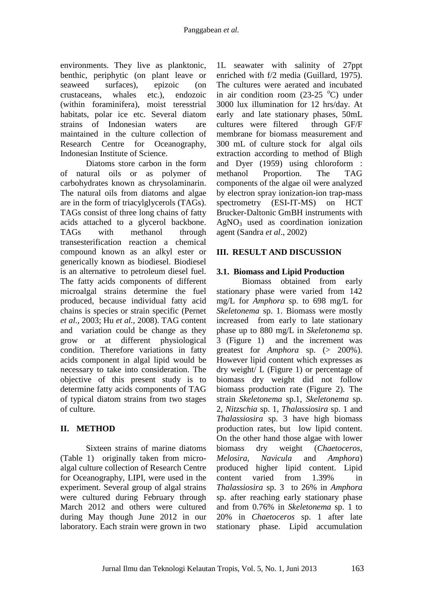environments. They live as planktonic, benthic, periphytic (on plant leave or seaweed surfaces), epizoic (on crustaceans, whales etc.), endozoic (within foraminifera), moist teresstrial habitats, polar ice etc. Several diatom strains of Indonesian waters are maintained in the culture collection of Research Centre for Oceanography, Indonesian Institute of Science.

Diatoms store carbon in the form of natural oils or as polymer of carbohydrates known as chrysolaminarin. The natural oils from diatoms and algae are in the form of triacylglycerols (TAGs). TAGs consist of three long chains of fatty acids attached to a glycerol backbone. TAGs with methanol through transesterification reaction a chemical compound known as an alkyl ester or generically known as biodiesel. Biodiesel is an alternative to petroleum diesel fuel. The fatty acids components of different microalgal strains determine the fuel produced, because individual fatty acid chains is species or strain specific (Pernet *et al*., 2003; Hu *et al.*, 2008). TAG content and variation could be change as they grow or at different physiological condition. Therefore variations in fatty acids component in algal lipid would be necessary to take into consideration. The objective of this present study is to determine fatty acids components of TAG of typical diatom strains from two stages of culture.

## **II. METHOD**

Sixteen strains of marine diatoms (Table 1) originally taken from microalgal culture collection of Research Centre for Oceanography, LIPI, were used in the experiment. Several group of algal strains were cultured during February through March 2012 and others were cultured during May though June 2012 in our laboratory. Each strain were grown in two

1L seawater with salinity of 27ppt enriched with f/2 media (Guillard, 1975). The cultures were aerated and incubated in air condition room  $(23-25 \text{ °C})$  under 3000 lux illumination for 12 hrs/day. At early and late stationary phases, 50mL cultures were filtered through GF/F membrane for biomass measurement and 300 mL of culture stock for algal oils extraction according to method of Bligh and Dyer (1959) using chloroform : methanol Proportion. The TAG components of the algae oil were analyzed by electron spray ionization-ion trap-mass spectrometry (ESI-IT-MS) on HCT Brucker-Daltonic GmBH instruments with  $AgNO<sub>3</sub>$  used as coordination ionization agent (Sandra *et al*., 2002)

## **III. RESULT AND DISCUSSION**

# **3.1. Biomass and Lipid Production**

Biomass obtained from early stationary phase were varied from 142 mg/L for *Amphora* sp. to 698 mg/L for *Skeletonema* sp. 1. Biomass were mostly increased from early to late stationary phase up to 880 mg/L in *Skeletonema* sp. 3 (Figure 1) and the increment was greatest for *Amphora* sp. (> 200%). However lipid content which expresses as dry weight/ L (Figure 1) or percentage of biomass dry weight did not follow biomass production rate (Figure 2). The strain *Skeletonema* sp.1, *Skeletonema* sp. 2, *Nitzschia* sp. 1, *Thalassiosira* sp. 1 and *Thalassiosira* sp. 3 have high biomass production rates, but low lipid content. On the other hand those algae with lower biomass dry weight (*Chaetoceros*, *Melosira*, *Navicula* and *Amphora*) produced higher lipid content. Lipid content varied from 1.39% in *Thalassiosira* sp. 3 to 26% in *Amphora* sp. after reaching early stationary phase and from 0.76% in *Skeletonema* sp. 1 to 20% in *Chaetoceros* sp. 1 after late stationary phase. Lipid accumulation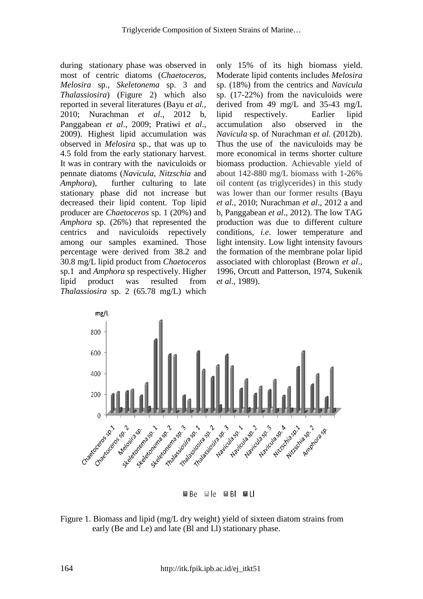during stationary phase was observed in most of centric diatoms (*Chaetoceros*, *Melosira* sp., *Skeletonema* sp. 3 and *Thalassiosira*) (Figure 2) which also reported in several literatures (Bayu *et al.*, 2010; Nurachman *et al*., 2012 b, Panggabean *et al*., 2009; Pratiwi *et al*., 2009). Highest lipid accumulation was observed in *Melosira* sp., that was up to 4.5 fold from the early stationary harvest. It was in contrary with the naviculoids or pennate diatoms (*Navicula*, *Nitzschia* and *Amphora*), further culturing to late stationary phase did not increase but decreased their lipid content. Top lipid producer are *Chaetoceros* sp. 1 (20%) and *Amphora* sp. (26%) that represented the centrics and naviculoids repectively among our samples examined. Those percentage were derived from 38.2 and 30.8 mg/L lipid product from *Chaetoceros* sp.1 and *Amphora* sp respectively. Higher lipid product was resulted from *Thalassiosira* sp. 2 (65.78 mg/L) which

only 15% of its high biomass yield. Moderate lipid contents includes *Melosira* sp. (18%) from the centrics and *Navicula* sp. (17-22%) from the naviculoids were derived from 49 mg/L and 35-43 mg/L lipid respectively. Earlier lipid accumulation also observed in the *Navicula* sp. of Nurachman *et al.* (2012b). Thus the use of the naviculoids may be more economical in terms shorter culture biomass production. Achievable yield of about 142-880 mg/L biomass with 1-26% oil content (as triglycerides) in this study was lower than our former results (Bayu *et al.*, 2010; Nurachman *et al*., 2012 a and b, Panggabean *et al*., 2012). The low TAG production was due to different culture conditions, *i.e*. lower temperature and light intensity. Low light intensity favours the formation of the membrane polar lipid associated with chloroplast (Brown *et al*., 1996, Orcutt and Patterson, 1974, Sukenik *et al*., 1989).



Figure 1. Biomass and lipid (mg/L dry weight) yield of sixteen diatom strains from early (Be and Le) and late (Bl and Ll) stationary phase.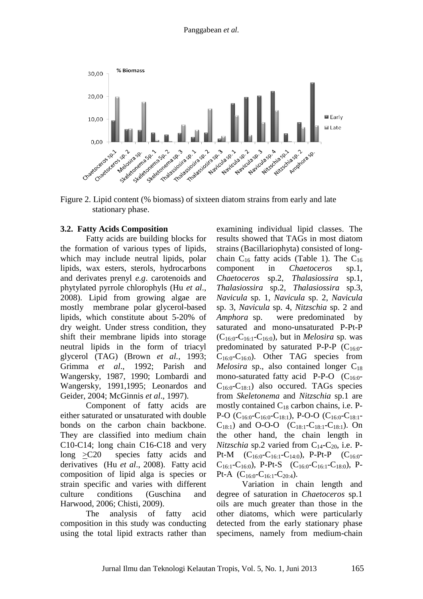

Figure 2. Lipid content (% biomass) of sixteen diatom strains from early and late stationary phase.

#### **3.2. Fatty Acids Composition**

Fatty acids are building blocks for the formation of various types of lipids, which may include neutral lipids, polar lipids, wax esters, sterols, hydrocarbons and derivates prenyl *e.g*. carotenoids and phytylated pyrrole chlorophyls (Hu *et al*., 2008). Lipid from growing algae are mostly membrane polar glycerol-based lipids, which constitute about 5-20% of dry weight. Under stress condition, they shift their membrane lipids into storage neutral lipids in the form of triacyl glycerol (TAG) (Brown *et al.*, 1993; Grimma *et al*., 1992; Parish and Wangersky, 1987, 1990; Lombardi and Wangersky, 1991,1995; Leonardos and Geider, 2004; McGinnis *et al*., 1997).

Component of fatty acids are either saturated or unsaturated with double bonds on the carbon chain backbone. They are classified into medium chain C10-C14; long chain C16-C18 and very long >C20 species fatty acids and derivatives (Hu *et al*., 2008). Fatty acid composition of lipid alga is species or strain specific and varies with different culture conditions (Guschina and Harwood, 2006; Chisti, 2009).

The analysis of fatty acid composition in this study was conducting using the total lipid extracts rather than examining individual lipid classes. The results showed that TAGs in most diatom strains (Bacillariophyta) consisted of longchain  $C_{16}$  fatty acids (Table 1). The  $C_{16}$ component in *Chaetoceros* sp.1, *Chaetoceros* sp.2, *Thalasiossira* sp.1, *Thalasiossira* sp.2, *Thalasiossira* sp.3, *Navicula* sp. 1, *Navicula* sp. 2, *Navicula*  sp. 3, *Navicula* sp. 4, *Nitzschia* sp. 2 and *Amphora* sp. were predominated by saturated and mono-unsaturated P-Pt-P  $(C_{16:0} - C_{16:1} - C_{16:0})$ , but in *Melosira* sp. was predominated by saturated P-P-P  $(C_{160}$ - $C_{16:0}$ - $C_{16:0}$ ). Other TAG species from *Melosira* sp., also contained longer  $C_{18}$ mono-saturated fatty acid P-P-O  $(C_{16:0}$ - $C_{16:0}$ - $C_{18:1}$ ) also occured. TAGs species from *Skeletonema* and *Nitzschia* sp.1 are mostly contained  $C_{18}$  carbon chains, i.e. P-P-O ( $C_{16:0}$ - $C_{16:0}$ - $C_{18:1}$ ), P-O-O ( $C_{16:0}$ - $C_{18:1}$ - $C_{18:1}$ ) and O-O-O ( $C_{18:1}$ - $C_{18:1}$ - $C_{18:1}$ ). On the other hand, the chain length in *Nitzschia* sp.2 varied from  $C_{14}$ - $C_{20}$ , i.e. P-Pt-M  $(C_{16:0}$ -C<sub>16:1</sub>-C<sub>14:0</sub>), P-Pt-P  $(C_{16:0}$ - $C_{16:1}$ -C<sub>16:0</sub>), P-Pt-S (C<sub>16:0</sub>-C<sub>16:1</sub>-C<sub>18:0</sub>), P-Pt-A  $(C_{16:0}$ -C<sub>16:1</sub>-C<sub>20:4</sub>).

Variation in chain length and degree of saturation in *Chaetoceros* sp.1 oils are much greater than those in the other diatoms, which were particularly detected from the early stationary phase specimens, namely from medium-chain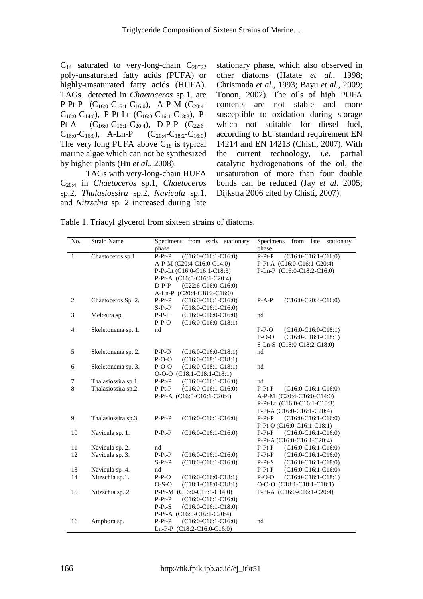$C_{14}$  saturated to very-long-chain  $C_{20^-22}$ poly-unsaturated fatty acids (PUFA) or highly-unsaturated fatty acids (HUFA). TAGs detected in *Chaetoceros* sp.1. are P-Pt-P  $(C_{16:0}$ -C<sub>16:1</sub>-C<sub>16:0</sub>), A-P-M  $(C_{20:4}$ - $C_{16:0}$ -C<sub>14:0</sub>), P-Pt-Lt (C<sub>16:0</sub>-C<sub>16:1</sub>-C<sub>18:3</sub>), P-Pt-A  $(C_{16:0}$ -C<sub>16:1</sub>-C<sub>20:4</sub>), D-P-P  $(C_{22:6}$ - $C_{16:0}$ -C<sub>16:0</sub>), A-Ln-P  $(C_{20:4}$ -C<sub>18:2</sub>-C<sub>16:0</sub>) The very long PUFA above  $C_{18}$  is typical marine algae which can not be synthesized by higher plants (Hu *et al*., 2008).

TAGs with very-long-chain HUFA C20:4 in *Chaetoceros* sp.1, *Chaetoceros*  sp.2, *Thalasiossira* sp.2, *Navicula* sp.1, and *Nitzschia* sp. 2 increased during late stationary phase, which also observed in other diatoms (Hatate *et al*., 1998; Chrismada *et al*., 1993; Bayu *et al.*, 2009; Tonon, 2002). The oils of high PUFA contents are not stable and more susceptible to oxidation during storage which not suitable for diesel fuel, according to EU standard requirement EN 14214 and EN 14213 (Chisti, 2007). With the current technology, *i.e*. partial catalytic hydrogenations of the oil, the unsaturation of more than four double bonds can be reduced (Jay *et al*. 2005; Dijkstra 2006 cited by Chisti, 2007).

| Table 1. Triacyl glycerol from sixteen strains of diatoms. |  |  |
|------------------------------------------------------------|--|--|
|------------------------------------------------------------|--|--|

| No.            | <b>Strain Name</b>  | Specimens from early stationary<br>phase | Specimens<br>from<br>late<br>stationary<br>phase |
|----------------|---------------------|------------------------------------------|--------------------------------------------------|
| $\mathbf{1}$   | Chaetoceros sp.1    | $P-Pt-P$<br>$(C16:0-C16:1-C16:0)$        | $P-Pt-P$<br>$(C16:0-C16:1-C16:0)$                |
|                |                     | A-P-M (C20:4-C16:0-C14:0)                | P-Pt-A (C16:0-C16:1-C20:4)                       |
|                |                     | P-Pt-Lt (C16:0-C16:1-C18:3)              | P-Ln-P (C16:0-C18:2-C16:0)                       |
|                |                     | P-Pt-A (C16:0-C16:1-C20:4)               |                                                  |
|                |                     | $D-P-P$<br>$(C22:6-C16:0-C16:0)$         |                                                  |
|                |                     | A-Ln-P (C20:4-C18:2-C16:0)               |                                                  |
| 2              | Chaetoceros Sp. 2.  | $P-Pt-P$<br>$(C16:0-C16:1-C16:0)$        | $(C16:0-C20:4-C16:0)$<br>$P-A-P$                 |
|                |                     | $S-Pt-P$<br>$(C18:0-C16:1-C16:0)$        |                                                  |
| 3              | Melosira sp.        | $P-P-P$<br>$(C16:0-C16:0-C16:0)$         | nd                                               |
|                |                     | $P-P-O$<br>$(C16:0-C16:0-C18:1)$         |                                                  |
| $\overline{4}$ | Skeletonema sp. 1.  | nd                                       | $(C16:0-C16:0-C18:1)$<br>$P-P-O$                 |
|                |                     |                                          | $P-O-O$<br>$(C16:0-C18:1-C18:1)$                 |
|                |                     |                                          | S-Ln-S (C18:0-C18:2-C18:0)                       |
| 5              | Skeletonema sp. 2.  | $P-P-O$<br>$(C16:0-C16:0-C18:1)$         | nd                                               |
|                |                     | $P-O-O$<br>$(C16:0-C18:1-C18:1)$         |                                                  |
| 6              | Skeletonema sp. 3.  | $P-O-O$<br>$(C16:0-C18:1-C18:1)$         | nd                                               |
|                |                     | O-O-O (C18:1-C18:1-C18:1)                |                                                  |
| 7              | Thalasiossira sp.1. | $P-Pt-P$<br>$(C16:0-C16:1-C16:0)$        | nd                                               |
| 8              | Thalasiossira sp.2. | $P-Pt-P$<br>$(C16:0-C16:1-C16:0)$        | $P-Pt-P$<br>$(C16:0-C16:1-C16:0)$                |
|                |                     | P-Pt-A (C16:0-C16:1-C20:4)               | A-P-M (C20:4-C16:0-C14:0)                        |
|                |                     |                                          | P-Pt-Lt (C16:0-C16:1-C18:3)                      |
|                |                     |                                          | P-Pt-A (C16:0-C16:1-C20:4)                       |
| 9              | Thalasiossira sp.3. | $P-Pt-P$<br>$(C16:0-C16:1-C16:0)$        | $P-Pt-P$<br>$(C16:0-C16:1-C16:0)$                |
|                |                     |                                          | P-Pt-O (C16:0-C16:1-C18:1)                       |
| 10             | Navicula sp. 1.     | $P-Pt-P$<br>$(C16:0-C16:1-C16:0)$        | $P-Pt-P$<br>$(C16:0-C16:1-C16:0)$                |
|                |                     |                                          | P-Pt-A (C16:0-C16:1-C20:4)                       |
| 11             | Navicula sp. 2.     | nd                                       | $(C16:0-C16:1-C16:0)$<br>$P-Pt-P$                |
| 12             | Navicula sp. 3.     | $P-Pt-P$<br>$(C16:0-C16:1-C16:0)$        | $P-Pt-P$<br>$(C16:0-C16:1-C16:0)$                |
|                |                     | $(C18:0-C16:1-C16:0)$<br>$S-Pt-P$        | $(C16:0-C16:1-C18:0)$<br>$P-Pt-S$                |
| 13             | Navicula sp .4.     | nd                                       | $P-Pt-P$<br>$(C16:0-C16:1-C16:0)$                |
| 14             | Nitzschia sp.1.     | $P-P-O$<br>$(C16:0-C16:0-C18:1)$         | $P-O-O$<br>$(C16:0-C18:1-C18:1)$                 |
|                |                     | $(C18:1-C18:0-C18:1)$<br>$O-S-O$         | O-O-O (C18:1-C18:1-C18:1)                        |
| 15             | Nitzschia sp. 2.    | P-Pt-M (C16:0-C16:1-C14:0)               | P-Pt-A (C16:0-C16:1-C20:4)                       |
|                |                     | $P-Pt-P$<br>$(C16:0-C16:1-C16:0)$        |                                                  |
|                |                     | $P-Pt-S$<br>$(C16:0-C16:1-C18:0)$        |                                                  |
|                |                     | P-Pt-A (C16:0-C16:1-C20:4)               |                                                  |
| 16             | Amphora sp.         | $P-Pt-P$<br>$(C16:0-C16:1-C16:0)$        | nd                                               |
|                |                     | Ln-P-P (C18:2-C16:0-C16:0)               |                                                  |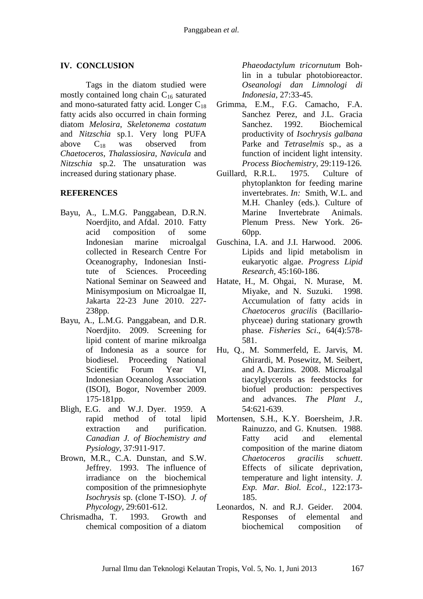## **IV. CONCLUSION**

Tags in the diatom studied were mostly contained long chain  $C_{16}$  saturated and mono-saturated fatty acid. Longer  $C_{18}$ fatty acids also occurred in chain forming diatom *Melosira*, *Skeletonema costatum*  and *Nitzschia* sp.1. Very long PUFA above  $C_{18}$  was observed from *Chaetoceros*, *Thalassiosira*, *Navicula* and *Nitzschia* sp.2. The unsaturation was increased during stationary phase.

## **REFERENCES**

- Bayu, A., L.M.G. Panggabean, D.R.N. Noerdjito, and Afdal. 2010. Fatty acid composition of some Indonesian marine microalgal collected in Research Centre For Oceanography, Indonesian Institute of Sciences. Proceeding National Seminar on Seaweed and Minisymposium on Microalgae II, Jakarta 22-23 June 2010. 227- 238pp.
- Bayu, A., L.M.G. Panggabean, and D.R. Noerdjito. 2009. Screening for lipid content of marine mikroalga of Indonesia as a source for biodiesel. Proceeding National Scientific Forum Year VI, Indonesian Oceanolog Association (ISOI), Bogor, November 2009. 175-181pp.
- Bligh, E.G. and W.J. Dyer. 1959. A rapid method of total lipid extraction and purification. *Canadian J. of Biochemistry and Pysiology,* 37:911-917.
- Brown, M.R., C.A. Dunstan, and S.W. Jeffrey. 1993. The influence of irradiance on the biochemical composition of the primnesiophyte *Isochrysis* sp. (clone T-ISO). *J. of Phycology,* 29:601-612.
- Chrismadha, T. 1993. Growth and chemical composition of a diatom

*Phaeodactylum tricornutum* Bohlin in a tubular photobioreactor. *Oseanologi dan Limnologi di Indonesia,* 27:33-45.

- Grimma, E.M., F.G. Camacho, F.A. Sanchez Perez, and J.L. Gracia Sanchez. 1992. Biochemical productivity of *Isochrysis galbana* Parke and *Tetraselmis* sp., as a function of incident light intensity. *Process Biochemistry,* 29:119-126.
- Guillard, R.R.L. 1975. Culture of phytoplankton for feeding marine invertebrates. *In:* Smith, W.L. and M.H. Chanley (eds.). Culture of Marine Invertebrate Animals. Plenum Press. New York. 26- 60pp.
- Guschina, I.A. and J.I. Harwood. 2006. Lipids and lipid metabolism in eukaryotic algae. *Progress Lipid Research,* 45:160-186.
- Hatate, H., M. Ohgai, N. Murase, M. Miyake, and N. Suzuki. 1998. Accumulation of fatty acids in *Chaetoceros gracilis* (Bacillariophyceae) during stationary growth phase. *Fisheries Sci*., 64(4):578- 581.
- Hu, Q., M. Sommerfeld, E. Jarvis, M. Ghirardi, M. Posewitz, M. Seibert, and A. Darzins. 2008. Microalgal tiacylglycerols as feedstocks for biofuel production: perspectives and advances. *The Plant J.,*  54:621-639.
- Mortensen, S.H., K.Y. Boersheim, J.R. Rainuzzo, and G. Knutsen. 1988. Fatty acid and elemental composition of the marine diatom *Chaetoceros gracilis schuett*. Effects of silicate deprivation, temperature and light intensity. *J. Exp. Mar. Biol. Ecol.,* 122:173- 185.
- Leonardos, N. and R.J. Geider. 2004. Responses of elemental and biochemical composition of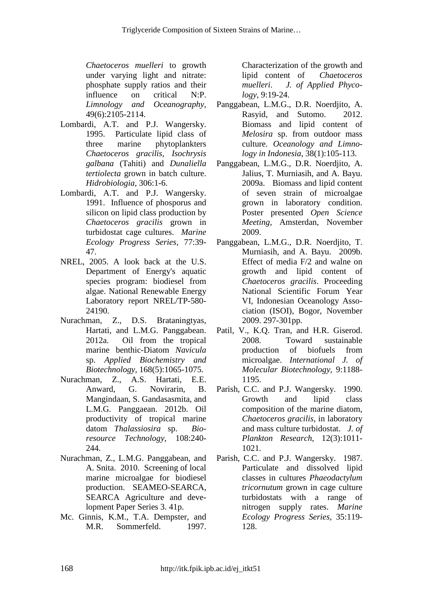*Chaetoceros muelleri* to growth under varying light and nitrate: phosphate supply ratios and their influence on critical N:P. *Limnology and Oceanography,* 49(6):2105-2114.

- Lombardi, A.T. and P.J. Wangersky. 1995. Particulate lipid class of three marine phytoplankters *Chaetoceros gracilis*, *Isochrysis galbana* (Tahiti) and *Dunaliella tertiolecta* grown in batch culture. *Hidrobiologia,* 306:1-6.
- Lombardi, A.T. and P.J. Wangersky. 1991. Influence of phosporus and silicon on lipid class production by *Chaetoceros gracilis* grown in turbidostat cage cultures. *Marine Ecology Progress Series,* 77:39- 47.
- NREL, 2005. A look back at the U.S. Department of Energy's aquatic species program: biodiesel from algae. National Renewable Energy Laboratory report NREL/TP-580- 24190.
- Nurachman, Z., D.S. Brataningtyas, Hartati, and L.M.G. Panggabean. 2012a. Oil from the tropical marine benthic-Diatom *Navicula* sp. *Applied Biochemistry and Biotechnology,* 168(5):1065-1075.
- Nurachman, Z., A.S. Hartati, E.E. Anward, G. Novirarin, B. Mangindaan, S. Gandasasmita, and L.M.G. Panggaean. 2012b. Oil productivity of tropical marine datom *Thalassiosira* sp. *Bioresource Technology*, 108:240- 244.
- Nurachman, Z., L.M.G. Panggabean, and A. Snita. 2010. Screening of local marine microalgae for biodiesel production. SEAMEO-SEARCA, SEARCA Agriculture and development Paper Series 3. 41p.
- Mc. Ginnis, K.M., T.A. Dempster, and M.R. Sommerfeld. 1997.

Characterization of the growth and lipid content of *Chaetoceros muelleri*. *J. of Applied Phycology,* 9:19-24.

- Panggabean, L.M.G., D.R. Noerdjito, A. Rasyid, and Sutomo. 2012. Biomass and lipid content of *Melosira* sp. from outdoor mass culture. *Oceanology and Limnology in Indonesia*, 38(1):105-113.
- Panggabean, L.M.G., D.R. Noerdjito, A. Jalius, T. Murniasih, and A. Bayu. 2009a. Biomass and lipid content of seven strain of microalgae grown in laboratory condition. Poster presented *Open Science Meeting*, Amsterdan, November 2009.
- Panggabean, L.M.G., D.R. Noerdjito, T. Murniasih, and A. Bayu. 2009b. Effect of media F/2 and walne on growth and lipid content of *Chaetoceros gracilis*. Proceeding National Scientific Forum Year VI, Indonesian Oceanology Association (ISOI), Bogor, November 2009. 297-301pp.
- Patil, V., K.Q. Tran, and H.R. Giserod. 2008. Toward sustainable production of biofuels from microalgae. *International J. of Molecular Biotechnology,* 9:1188- 1195.
- Parish, C.C. and P.J. Wangersky. 1990. Growth and lipid class composition of the marine diatom, *Chaetoceros gracilis*, in laboratory and mass culture turbidostat. *J. of Plankton Research,* 12(3):1011- 1021.
- Parish, C.C. and P.J. Wangersky. 1987. Particulate and dissolved lipid classes in cultures *Phaeodactylum tricornutum* grown in cage culture turbidostats with a range of nitrogen supply rates. *Marine Ecology Progress Series,* 35:119- 128.